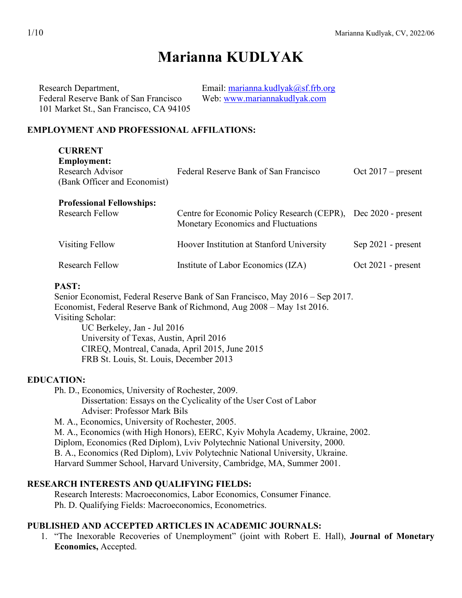# **Marianna KUDLYAK**

| Research Department,                    | Email: marianna.kudlyak@sf.frb.org |
|-----------------------------------------|------------------------------------|
| Federal Reserve Bank of San Francisco   | Web: www.mariannakudlyak.com       |
| 101 Market St., San Francisco, CA 94105 |                                    |

### **EMPLOYMENT AND PROFESSIONAL AFFILATIONS:**

| Federal Reserve Bank of San Francisco                                                     | Oct $2017$ – present |
|-------------------------------------------------------------------------------------------|----------------------|
| Centre for Economic Policy Research (CEPR),<br><b>Monetary Economics and Fluctuations</b> | Dec $2020$ - present |
| Hoover Institution at Stanford University                                                 | $Sep 2021$ - present |
| Institute of Labor Economics (IZA)                                                        | $Oct 2021$ - present |
|                                                                                           |                      |

### **PAST:**

Senior Economist, Federal Reserve Bank of San Francisco, May 2016 – Sep 2017. Economist, Federal Reserve Bank of Richmond, Aug 2008 – May 1st 2016. Visiting Scholar: UC Berkeley, Jan - Jul 2016 University of Texas, Austin, April 2016 CIREQ, Montreal, Canada, April 2015, June 2015 FRB St. Louis, St. Louis, December 2013

# **EDUCATION:**

Ph. D., Economics, University of Rochester, 2009.

Dissertation: Essays on the Cyclicality of the User Cost of Labor Adviser: Professor Mark Bils

M. A., Economics, University of Rochester, 2005.

M. A., Economics (with High Honors), EERC, Kyiv Mohyla Academy, Ukraine, 2002.

Diplom, Economics (Red Diplom), Lviv Polytechnic National University, 2000.

B. A., Economics (Red Diplom), Lviv Polytechnic National University, Ukraine.

Harvard Summer School, Harvard University, Cambridge, MA, Summer 2001.

#### **RESEARCH INTERESTS AND QUALIFYING FIELDS:**

Research Interests: Macroeconomics, Labor Economics, Consumer Finance. Ph. D. Qualifying Fields: Macroeconomics, Econometrics.

### **PUBLISHED AND ACCEPTED ARTICLES IN ACADEMIC JOURNALS:**

1. "The Inexorable Recoveries of Unemployment" (joint with Robert E. Hall), **Journal of Monetary Economics,** Accepted.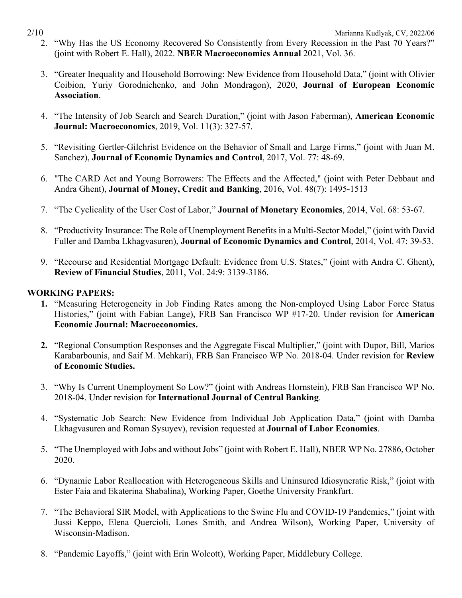- 2. "Why Has the US Economy Recovered So Consistently from Every Recession in the Past 70 Years?" (joint with Robert E. Hall), 2022. **NBER Macroeconomics Annual** 2021, Vol. 36.
- 3. "Greater Inequality and Household Borrowing: New Evidence from Household Data," (joint with Olivier Coibion, Yuriy Gorodnichenko, and John Mondragon), 2020, **Journal of European Economic Association**.
- 4. "The Intensity of Job Search and Search Duration," (joint with Jason Faberman), **American Economic Journal: Macroeconomics**, 2019, Vol. 11(3): 327-57.
- 5. "Revisiting Gertler-Gilchrist Evidence on the Behavior of Small and Large Firms," (joint with Juan M. Sanchez), **Journal of Economic Dynamics and Control**, 2017, Vol. 77: 48-69.
- 6. "The CARD Act and Young Borrowers: The Effects and the Affected," (joint with Peter Debbaut and Andra Ghent), **Journal of Money, Credit and Banking**, 2016, Vol. 48(7): 1495-1513
- 7. "The Cyclicality of the User Cost of Labor," **Journal of Monetary Economics**, 2014, Vol. 68: 53-67.
- 8. "Productivity Insurance: The Role of Unemployment Benefits in a Multi-Sector Model," (joint with David Fuller and Damba Lkhagvasuren), **Journal of Economic Dynamics and Control**, 2014, Vol. 47: 39-53.
- 9. "Recourse and Residential Mortgage Default: Evidence from U.S. States," (joint with [Andra C. Ghent\)](http://aux.zicklin.baruch.cuny.edu/ghent/), **Review of Financial Studies**, 2011, Vol. 24:9: 3139-3186.

# **WORKING PAPERS:**

- **1.** ["Measuring Heterogeneity in Job Finding Rates among the Non-employed Using Labor Force Status](https://www.richmondfed.org/publications/research/working_papers/2014/pdf/wp14-18.pdf)  [Histories,](https://www.richmondfed.org/publications/research/working_papers/2014/pdf/wp14-18.pdf)" (joint with Fabian Lange), FRB San Francisco WP #17-20. Under revision for **American Economic Journal: Macroeconomics.**
- **2.** "Regional Consumption Responses and the Aggregate Fiscal Multiplier," (joint with Dupor, Bill, Marios Karabarbounis, and Saif M. Mehkari), FRB San Francisco WP No. 2018-04. Under revision for **Review of Economic Studies.**
- 3. "Why Is Current Unemployment So Low?" (joint with Andreas Hornstein), FRB San Francisco WP No. 2018-04. Under revision for **International Journal of Central Banking**.
- 4. "Systematic Job Search: New Evidence from Individual Job Application Data," (joint with Damba Lkhagvasuren and Roman Sysuyev), revision requested at **Journal of Labor Economics**.
- 5. "The Unemployed with Jobs and without Jobs" (joint with Robert E. Hall), NBER WP No. 27886, October 2020.
- 6. "Dynamic Labor Reallocation with Heterogeneous Skills and Uninsured Idiosyncratic Risk," (joint with Ester Faia and Ekaterina Shabalina), Working Paper, Goethe University Frankfurt.
- 7. "The Behavioral SIR Model, with Applications to the Swine Flu and COVID-19 Pandemics," (joint with Jussi Keppo, Elena Quercioli, Lones Smith, and Andrea Wilson), Working Paper, University of Wisconsin-Madison.
- 8. "Pandemic Layoffs," (joint with Erin Wolcott), Working Paper, Middlebury College.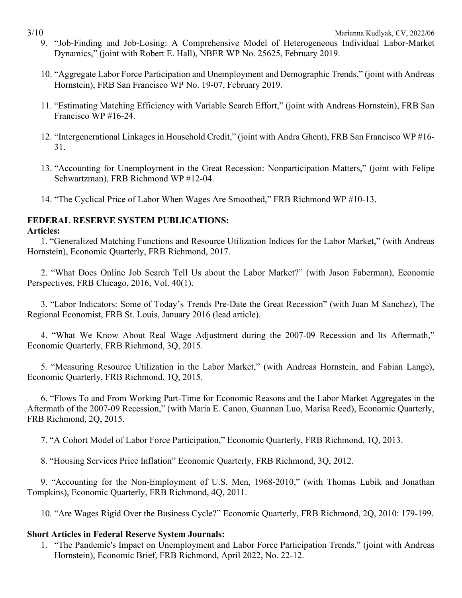- 9. "Job-Finding and Job-Losing: A Comprehensive Model of Heterogeneous Individual Labor-Market Dynamics," (joint with Robert E. Hall), NBER WP No. 25625, February 2019.
- 10. "Aggregate Labor Force Participation and Unemployment and Demographic Trends," (joint with Andreas Hornstein), FRB San Francisco WP No. 19-07, February 2019.
- 11. "Estimating Matching Efficiency with Variable Search Effort," (joint with Andreas Hornstein), FRB San Francisco WP #16-24.
- 12. "Intergenerational Linkages in Household Credit," (joint with Andra Ghent), FRB San Francisco WP #16- 31.
- 13. "Accounting for Unemployment in the Great Recession: Nonparticipation Matters," (joint with Felipe Schwartzman), FRB Richmond WP #12-04.
- 14. "The Cyclical Price of Labor When Wages Are Smoothed," FRB Richmond WP #10-13.

# **FEDERAL RESERVE SYSTEM PUBLICATIONS:**

### **Articles:**

1. "Generalized Matching Functions and Resource Utilization Indices for the Labor Market," (with Andreas Hornstein), Economic Quarterly, FRB Richmond, 2017.

2. "What Does Online Job Search Tell Us about the Labor Market?" (with Jason Faberman), Economic Perspectives, FRB Chicago, 2016, Vol. 40(1).

3. "Labor Indicators: Some of Today's Trends Pre-Date the Great Recession" (with Juan M Sanchez), The Regional Economist, FRB St. Louis, January 2016 (lead article).

4. "What We Know About Real Wage Adjustment during the 2007-09 Recession and Its Aftermath," Economic Quarterly, FRB [Richmond, 3Q, 2015.](http://ideas.repec.org/s/fip/fedreb.html)

5. "Measuring Resource Utilization in the Labor Market," (with Andreas Hornstein, and Fabian Lange), Economic Quarterly, FRB [Richmond, 1Q, 2015.](http://ideas.repec.org/s/fip/fedreb.html)

6. "Flows To and From Working Part-Time for Economic Reasons and the Labor Market Aggregates in the Aftermath of the 2007-09 Recession," (with Maria E. Canon, Guannan Luo, Marisa Reed), Economic Quarterly, FRB [Richmond, 2Q, 2015.](http://ideas.repec.org/s/fip/fedreb.html)

7. "A Cohort Model of Labor Force Participation," [Economic Quarterly,](http://ideas.repec.org/s/fip/fedreq.html) FRB Richmond, 1Q, 2013.

8. "Housing Services Price Inflation" [Economic Quarterly,](http://ideas.repec.org/s/fip/fedreq.html) FRB Richmond, 3Q, 2012.

9. ["Accounting for the Non-Employment of U.S. Men, 1968-2010,](http://www.richmondfed.org/research/economists/bios/pdfs/kudlyak_accounting_for_nonemployment_men.pdf)" (with Thomas Lubik and Jonathan Tompkins), [Economic Quarterly,](http://ideas.repec.org/s/fip/fedreq.html) FRB Richmond, 4Q, 2011.

10. ["Are Wages Rigid Over the Business Cycle?"](http://ideas.repec.org/a/fip/fedreq/y2010i2qp179-199nvol.96no.2.html) [Economic Quarterly,](http://ideas.repec.org/s/fip/fedreq.html) FRB Richmond, 2Q, 2010: 179-199.

# **Short Articles in Federal Reserve System Journals:**

1. "The Pandemic's Impact on Unemployment and Labor Force Participation Trends," (joint with Andreas Hornstein), Economic Brief, FRB Richmond, April 2022, No. 22-12.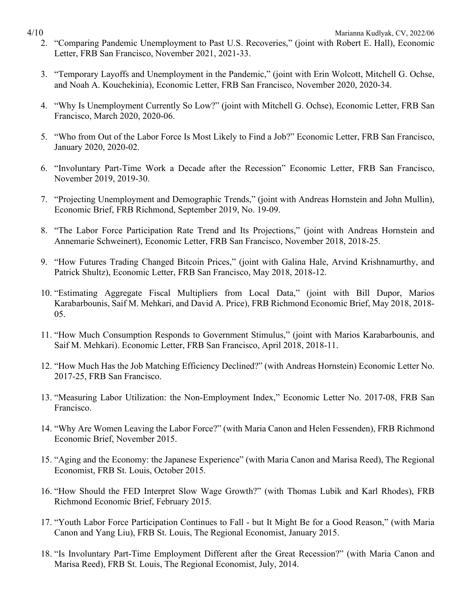- 2. "Comparing Pandemic Unemployment to Past U.S. Recoveries," (joint with Robert E. Hall), Economic Letter, FRB San Francisco, November 2021, 2021-33.
- 3. "Temporary Layoffs and Unemployment in the Pandemic," (joint with Erin Wolcott, Mitchell G. Ochse, and Noah A. Kouchekinia), Economic Letter, FRB San Francisco, November 2020, 2020-34.
- 4. "Why Is Unemployment Currently So Low?" (joint with Mitchell G. Ochse), Economic Letter, FRB San Francisco, March 2020, 2020-06.
- 5. "Who from Out of the Labor Force Is Most Likely to Find a Job?" Economic Letter, FRB San Francisco, January 2020, 2020-02.
- 6. "Involuntary Part-Time Work a Decade after the Recession" Economic Letter, FRB San Francisco, November 2019, 2019-30.
- 7. "Projecting Unemployment and Demographic Trends," (joint with Andreas Hornstein and John Mullin), Economic Brief, FRB Richmond, September 2019, No. 19-09.
- 8. "The Labor Force Participation Rate Trend and Its Projections," (joint with Andreas Hornstein and Annemarie Schweinert), Economic Letter, FRB San Francisco, November 2018, 2018-25.
- 9. "How Futures Trading Changed Bitcoin Prices," (joint with Galina Hale, Arvind Krishnamurthy, and Patrick Shultz), Economic Letter, FRB San Francisco, May 2018, 2018-12.
- 10. "Estimating Aggregate Fiscal Multipliers from Local Data," (joint with Bill Dupor, Marios Karabarbounis, Saif M. Mehkari, and David A. Price), FRB [Richmond Economic Brief,](http://ideas.repec.org/s/fip/fedreb.html) May 2018, 2018- 05.
- 11. ["How Much Consumption Responds to Government Stimulus,](https://www.frbsf.org/economic-research/publications/economic-letter/2018/april/consumption-response-to-government-stimulus/)" (joint with Marios Karabarbounis, and Saif M. Mehkari). Economic Letter, FRB San Francisco, April 2018, 2018-11.
- 12. "How Much Has the Job Matching Efficiency Declined?" (with Andreas Hornstein) Economic Letter No. 2017-25, FRB San Francisco.
- 13. "Measuring Labor Utilization: the Non-Employment Index," Economic Letter No. 2017-08, FRB San Francisco.
- 14. "Why Are Women Leaving the Labor Force?" (with Maria Canon and Helen Fessenden), FRB [Richmond](http://ideas.repec.org/s/fip/fedreb.html)  [Economic Brief,](http://ideas.repec.org/s/fip/fedreb.html) November 2015.
- 15. "Aging and the Economy: the Japanese Experience" (with Maria Canon and Marisa Reed), The Regional Economist, FRB St. Louis, October 2015.
- 16. "How Should the FED Interpret Slow Wage Growth?" (with Thomas Lubik and Karl Rhodes), FRB [Richmond Economic Brief,](http://ideas.repec.org/s/fip/fedreb.html) February 2015.
- 17. "Youth Labor Force Participation Continues to Fall but It Might Be for a Good Reason," (with Maria Canon and Yang Liu), FRB [St. Louis,](http://ideas.repec.org/s/fip/fedreb.html) The Regional Economist, January 2015.
- 18. "Is Involuntary Part-Time Employment Different after the Great Recession?" (with Maria Canon and Marisa Reed), FRB [St. Louis,](http://ideas.repec.org/s/fip/fedreb.html) The Regional Economist, July, 2014.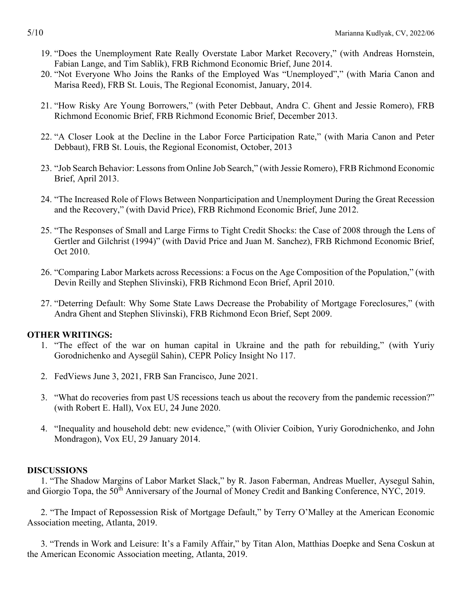- 19. "Does the Unemployment Rate Really Overstate Labor Market Recovery," (with Andreas Hornstein, Fabian Lange, and Tim Sablik), FRB [Richmond Economic Brief,](http://ideas.repec.org/s/fip/fedreb.html) June 2014.
- 20. ["Not Everyone Who Joins the Ranks of the Employed Was "Unemployed",](http://www.stlouisfed.org/publications/re/articles/?id=2474)" (with Maria Canon and Marisa Reed), FRB [St. Louis,](http://ideas.repec.org/s/fip/fedreb.html) The Regional Economist, January, 2014.
- 21. "How Risky Are Young Borrowers," (with Peter Debbaut, Andra C. Ghent and Jessie Romero), FRB [Richmond Economic Brief,](http://ideas.repec.org/s/fip/fedreb.html) FRB [Richmond Economic Brief,](http://ideas.repec.org/s/fip/fedreb.html) December 2013.
- 22. ["A Closer Look at the Decline in the Labor Force Participation Rate,](http://www.stlouisfed.org/publications/pub_assets/pdf/re/2013/d/RE_Oct_2013.pdf#page=10)" (with Maria Canon and Peter Debbaut), FRB [St. Louis,](http://ideas.repec.org/s/fip/fedreb.html) the Regional Economist, October, 2013
- 23. "Job Search Behavior: Lessons from Online Job Search," (with Jessie Romero), FRB [Richmond Economic](http://ideas.repec.org/s/fip/fedreb.html)  [Brief,](http://ideas.repec.org/s/fip/fedreb.html) April 2013.
- 24. "The Increased Role of Flows Between Nonparticipation and Unemployment During the Great Recession and the Recovery," (with David Price), FRB [Richmond Economic Brief,](http://ideas.repec.org/s/fip/fedreb.html) June 2012.
- 25. ["The Responses of Small and Large Firms to Tight Credit Shocks: the Case of 2008 through the Lens of](http://ideas.repec.org/a/fip/fedreb/y2010ioctn10-10.html)  [Gertler and Gilchrist \(1994\)"](http://ideas.repec.org/a/fip/fedreb/y2010ioctn10-10.html) (with David Price and Juan M. Sanchez), FRB [Richmond Economic Brief,](http://ideas.repec.org/s/fip/fedreb.html) Oct 2010.
- 26. ["Comparing Labor Markets across Recessions: a Focus on the Age Composition of the Population,](http://ideas.repec.org/a/fip/fedreb/y2010iaprn10-04.html)" (with Devin Reilly and Stephen Slivinski), FRB [Richmond Econ Brief,](http://ideas.repec.org/s/fip/fedreb.html) April 2010.
- 27. ["Deterring Default: Why Some State Laws Decrease the Probability of Mortgage Foreclosures,](http://www.richmondfed.org/publications/research/economic_brief/2009/eb_09-09.cfm)" (with Andra Ghent and Stephen Slivinski), FRB Richmond Econ Brief, Sept 2009.

#### **OTHER WRITINGS:**

- 1. "The effect of the war on human capital in Ukraine and the path for rebuilding," (with Yuriy Gorodnichenko and Aysegül Sahin), CEPR Policy Insight No 117.
- 2. FedViews June 3, 2021, FRB San Francisco, June 2021.
- 3. ["What do recoveries from past US recessions teach us about the recovery from the pandemic recession?"](https://voxeu.org/article/what-do-recoveries-past-us-recessions-teach-us-about-recovery-pandemic-recession) (with Robert E. Hall), Vox EU, 24 June 2020.
- 4. ["Inequality and household debt: new](https://voxeu.org/article/inequality-and-household-debt-new-evidence) evidence," (with Olivier Coibion, Yuriy Gorodnichenko, and John Mondragon), Vox EU, 29 January 2014.

# **DISCUSSIONS**

1. "The Shadow Margins of Labor Market Slack," by R. Jason Faberman, Andreas Mueller, Aysegul Sahin, and Giorgio Topa, the 50<sup>th</sup> Anniversary of the Journal of Money Credit and Banking Conference, NYC, 2019.

2. "The Impact of Repossession Risk of Mortgage Default," by Terry O'Malley at the American Economic Association meeting, Atlanta, 2019.

3. "Trends in Work and Leisure: It's a Family Affair," by Titan Alon, Matthias Doepke and Sena Coskun at the American Economic Association meeting, Atlanta, 2019.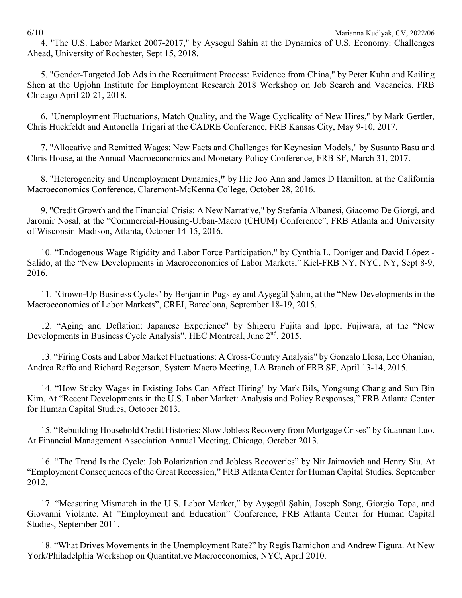4. "The U.S. Labor Market 2007-2017," by Aysegul Sahin at the Dynamics of U.S. Economy: Challenges Ahead, University of Rochester, Sept 15, 2018.

5. "Gender-Targeted Job Ads in the Recruitment Process: Evidence from China," by Peter Kuhn and Kailing Shen at the [Upjohn Institute for Employment Research 2018 Workshop on Job Search and Vacancies, FRB](http://www.upjohn.org/wjsv/program.html)  [Chicago](http://www.upjohn.org/wjsv/program.html) April 20-21, 2018.

6. "Unemployment Fluctuations, Match Quality, and the Wage Cyclicality of New Hires," by Mark Gertler, Chris Huckfeldt and Antonella Trigari at the CADRE Conference, FRB Kansas City, May 9-10, 2017.

7. "Allocative and Remitted Wages: New Facts and Challenges for Keynesian Models," by Susanto Basu and Chris House, at the Annual Macroeconomics and Monetary Policy Conference, FRB SF, March 31, 2017.

8. "Heterogeneity and Unemployment Dynamics,**"** by Hie Joo Ann and James D Hamilton, at the California Macroeconomics Conference, Claremont-McKenna College, October 28, 2016.

9. "Credit Growth and the Financial Crisis: A New Narrative," by Stefania Albanesi, Giacomo De Giorgi, and Jaromir Nosal, at the "Commercial-Housing-Urban-Macro (CHUM) Conference", FRB Atlanta and University of Wisconsin-Madison, Atlanta, October 14-15, 2016.

10. "Endogenous Wage Rigidity and Labor Force Participation," by Cynthia L. Doniger and David López - Salido, at the "New Developments in Macroeconomics of Labor Markets," Kiel-FRB NY, NYC, NY, Sept 8-9, 2016.

11. "Grown**-**Up Business Cycles" by Benjamin Pugsley and Ayşegül Şahin, at the "New Developments in the Macroeconomics of Labor Markets", CREI, Barcelona, September 18-19, 2015.

12. "Aging and Deflation: Japanese Experience" by Shigeru Fujita and Ippei Fujiwara, at the "New Developments in Business Cycle Analysis", HEC Montreal, June 2<sup>nd</sup>, 2015.

13. "Firing Costs and Labor Market Fluctuations: A Cross-Country Analysis" by Gonzalo Llosa, Lee Ohanian, Andrea Raffo and Richard Rogerson*,* System Macro Meeting, LA Branch of FRB SF, April 13-14, 2015.

14. "How Sticky Wages in Existing Jobs Can Affect Hiring" by Mark Bils, Yongsung Chang and Sun-Bin Kim. At "Recent Developments in the U.S. Labor Market: Analysis and Policy Responses," FRB Atlanta Center for Human Capital Studies, October 2013.

15. "Rebuilding Household Credit Histories: Slow Jobless Recovery from Mortgage Crises" by Guannan Luo. At Financial Management Association Annual Meeting, Chicago, October 2013.

16. "The Trend Is the Cycle: Job Polarization and Jobless Recoveries" by Nir Jaimovich and Henry Siu. At "Employment Consequences of the Great Recession," FRB Atlanta Center for Human Capital Studies, September 2012.

17. ["Measuring Mismatch in the U.S. Labor Market,](http://www.frbatlanta.org/documents/news/conferences/11employment_education_violante.pdf)" by Ayşegül Şahin, Joseph Song, Giorgio Topa, and Giovanni Violante. At *"*Employment and Education" Conference, FRB Atlanta Center for Human Capital Studies, September 2011.

18. "What Drives Movements in the Unemployment Rate?" by Regis Barnichon and Andrew Figura. At New York/Philadelphia Workshop on Quantitative Macroeconomics, NYC, April 2010.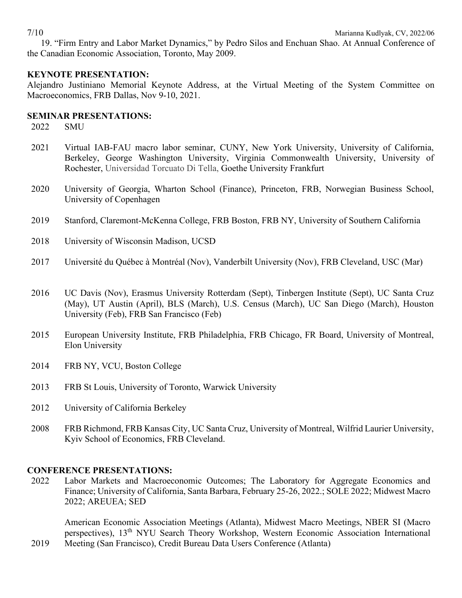19. "Firm Entry and Labor Market Dynamics," by Pedro Silos and Enchuan Shao. At Annual Conference of the Canadian Economic Association, Toronto, May 2009.

# **KEYNOTE PRESENTATION:**

Alejandro Justiniano Memorial Keynote Address, at the Virtual Meeting of the System Committee on Macroeconomics, FRB Dallas, Nov 9-10, 2021.

#### **SEMINAR PRESENTATIONS:**

2022 SMU

- 2021 Virtual IAB-FAU macro labor seminar, CUNY, New York University, University of California, Berkeley, George Washington University, Virginia Commonwealth University, University of Rochester, Universidad Torcuato Di Tella, Goethe University Frankfurt
- 2020 University of Georgia, Wharton School (Finance), Princeton, FRB, Norwegian Business School, University of Copenhagen
- 2019 Stanford, Claremont-McKenna College, FRB Boston, FRB NY, University of Southern California
- 2018 University of Wisconsin Madison, UCSD
- 2017 Université du Québec à Montréal (Nov), Vanderbilt University (Nov), FRB Cleveland, USC (Mar)
- 2016 UC Davis (Nov), Erasmus University Rotterdam (Sept), Tinbergen Institute (Sept), UC Santa Cruz (May), UT Austin (April), BLS (March), U.S. Census (March), UC San Diego (March), Houston University (Feb), FRB San Francisco (Feb)
- 2015 European University Institute, FRB Philadelphia, FRB Chicago, FR Board, University of Montreal, Elon University
- 2014 FRB NY, VCU, Boston College
- 2013 FRB St Louis, University of Toronto, Warwick University
- 2012 University of California Berkeley
- 2008 FRB Richmond, FRB Kansas City, UC Santa Cruz, University of Montreal, Wilfrid Laurier University, Kyiv School of Economics, FRB Cleveland.

### **CONFERENCE PRESENTATIONS:**

2019

2022 Labor Markets and Macroeconomic Outcomes; The Laboratory for Aggregate Economics and Finance; University of California, Santa Barbara, February 25-26, 2022.; SOLE 2022; Midwest Macro 2022; AREUEA; SED

American Economic Association Meetings (Atlanta), Midwest Macro Meetings, NBER SI (Macro perspectives), 13th NYU Search Theory Workshop, Western Economic Association International Meeting (San Francisco), Credit Bureau Data Users Conference (Atlanta)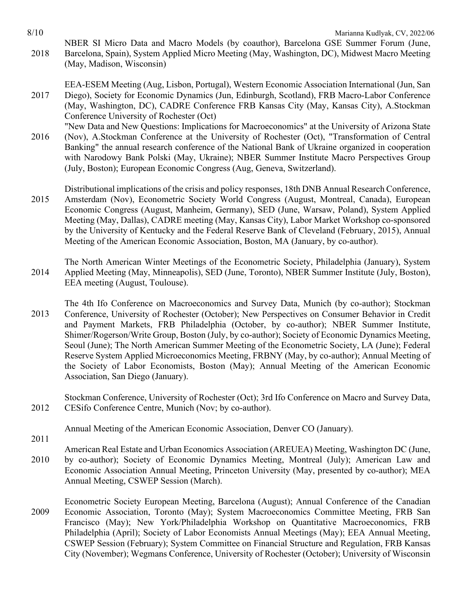8/10 Marianna Kudlyak, CV, 2022/06 2018 NBER SI Micro Data and Macro Models (by coauthor), Barcelona GSE Summer Forum (June, Barcelona, Spain), System Applied Micro Meeting (May, Washington, DC), Midwest Macro Meeting

(May, Madison, Wisconsin)

2017 EEA-ESEM Meeting (Aug, Lisbon, Portugal), Western Economic Association International (Jun, San Diego), Society for Economic Dynamics (Jun, Edinburgh, Scotland), FRB Macro-Labor Conference (May, Washington, DC), CADRE Conference FRB Kansas City (May, Kansas City), A.Stockman Conference University of Rochester (Oct)

2016 "New Data and New Questions: Implications for Macroeconomics" at the University of Arizona State (Nov), A.Stockman Conference at the University of Rochester (Oct), "Transformation of Central Banking" the annual research conference of the National Bank of Ukraine organized in cooperation with Narodowy Bank Polski (May, Ukraine); NBER Summer Institute Macro Perspectives Group (July, Boston); European Economic Congress (Aug, Geneva, Switzerland).

2015 Distributional implications of the crisis and policy responses, 18th DNB Annual Research Conference, Amsterdam (Nov), Econometric Society World Congress (August, Montreal, Canada), European Economic Congress (August, Manheim, Germany), SED (June, Warsaw, Poland), System Applied Meeting (May, Dallas), CADRE meeting (May, Kansas City), Labor Market Workshop co-sponsored by the University of Kentucky and the Federal Reserve Bank of Cleveland (February, 2015), Annual Meeting of the American Economic Association, Boston, MA (January, by co-author).

2014 The North American Winter Meetings of the Econometric Society, Philadelphia (January), System Applied Meeting (May, Minneapolis), SED (June, Toronto), NBER Summer Institute (July, Boston), EEA meeting (August, Toulouse).

2013 The 4th Ifo Conference on Macroeconomics and Survey Data, Munich (by co-author); Stockman Conference, University of Rochester (October); New Perspectives on Consumer Behavior in Credit and Payment Markets, FRB Philadelphia (October, by co-author); NBER Summer Institute, Shimer/Rogerson/Write Group, Boston (July, by co-author); Society of Economic Dynamics Meeting, Seoul (June); The North American Summer Meeting of the Econometric Society, LA (June); Federal Reserve System Applied Microeconomics Meeting, FRBNY (May, by co-author); Annual Meeting of the Society of Labor Economists, Boston (May); Annual Meeting of the American Economic Association, San Diego (January).

2012 Stockman Conference, University of Rochester (Oct); 3rd Ifo Conference on Macro and Survey Data, CESifo Conference Centre, Munich (Nov; by co-author).

Annual Meeting of the American Economic Association, Denver CO (January).

2011

2010 American Real Estate and Urban Economics Association (AREUEA) Meeting, Washington DC (June, by co-author); Society of Economic Dynamics Meeting, Montreal (July); American Law and Economic Association Annual Meeting, Princeton University (May, presented by co-author); MEA Annual Meeting, CSWEP Session (March).

2009 Econometric Society European Meeting, Barcelona (August); Annual Conference of the Canadian Economic Association, Toronto (May); System Macroeconomics Committee Meeting, FRB San Francisco (May); New York/Philadelphia Workshop on Quantitative Macroeconomics, FRB Philadelphia (April); Society of Labor Economists Annual Meetings (May); EEA Annual Meeting, CSWEP Session (February); System Committee on Financial Structure and Regulation, FRB Kansas City (November); Wegmans Conference, University of Rochester (October); University of Wisconsin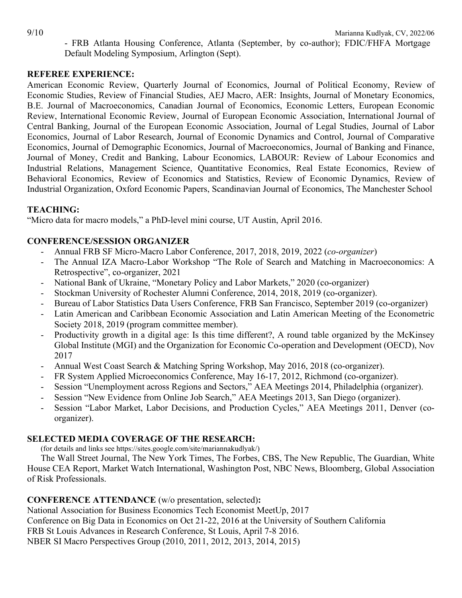- FRB Atlanta Housing Conference, Atlanta (September, by co-author); FDIC/FHFA Mortgage Default Modeling Symposium, Arlington (Sept).

### **REFEREE EXPERIENCE:**

American Economic Review, Quarterly Journal of Economics, Journal of Political Economy, Review of Economic Studies, Review of Financial Studies, AEJ Macro, AER: Insights, Journal of Monetary Economics, B.E. Journal of Macroeconomics, Canadian Journal of Economics, Economic Letters, European Economic Review, International Economic Review, Journal of European Economic Association, International Journal of Central Banking, Journal of the European Economic Association, Journal of Legal Studies, Journal of Labor Economics, Journal of Labor Research, Journal of Economic Dynamics and Control, Journal of Comparative Economics, Journal of Demographic Economics, Journal of Macroeconomics, Journal of Banking and Finance, Journal of Money, Credit and Banking, Labour Economics, LABOUR: Review of Labour Economics and Industrial Relations, Management Science, Quantitative Economics, Real Estate Economics, Review of Behavioral Economics, Review of Economics and Statistics, Review of Economic Dynamics, Review of Industrial Organization, Oxford Economic Papers, Scandinavian Journal of Economics, The Manchester School

# **TEACHING:**

"Micro data for macro models," a PhD-level mini course, UT Austin, April 2016.

### **CONFERENCE/SESSION ORGANIZER**

- Annual FRB SF Micro-Macro Labor Conference, 2017, 2018, 2019, 2022 (*co-organizer*)
- The Annual IZA Macro-Labor Workshop "The Role of Search and Matching in Macroeconomics: A Retrospective", co-organizer, 2021
- National Bank of Ukraine, "Monetary Policy and Labor Markets," 2020 (co-organizer)
- Stockman University of Rochester Alumni Conference, 2014, 2018, 2019 (co-organizer).
- Bureau of Labor Statistics Data Users Conference, FRB San Francisco, September 2019 (co-organizer)
- Latin American and Caribbean Economic Association and Latin American Meeting of the Econometric Society 2018, 2019 (program committee member).
- Productivity growth in a digital age: Is this time different?, A round table organized by the McKinsey Global Institute (MGI) and the Organization for Economic Co-operation and Development (OECD), Nov 2017
- Annual West Coast Search & Matching Spring Workshop, May 2016, 2018 (co-organizer).
- FR System Applied Microeconomics Conference, May 16-17, 2012, Richmond (co-organizer).
- Session "Unemployment across Regions and Sectors," AEA Meetings 2014, Philadelphia (organizer).
- Session "New Evidence from Online Job Search," AEA Meetings 2013, San Diego (organizer).
- Session "Labor Market, Labor Decisions, and Production Cycles," AEA Meetings 2011, Denver (coorganizer).

# **SELECTED MEDIA COVERAGE OF THE RESEARCH:**

(for details and links see https://sites.google.com/site/mariannakudlyak/)

The Wall Street Journal, The New York Times, The Forbes, CBS, The New Republic, The Guardian, White House CEA Report, Market Watch International, Washington Post, NBC News, Bloomberg, Global Association of Risk Professionals.

# **CONFERENCE ATTENDANCE** (w/o presentation, selected)**:**

National Association for Business Economics Tech Economist MeetUp, 2017

Conference on Big Data in Economics on Oct 21-22, 2016 at the University of Southern California

FRB St Louis Advances in Research Conference, St Louis, April 7-8 2016.

NBER SI Macro Perspectives Group (2010, 2011, 2012, 2013, 2014, 2015)